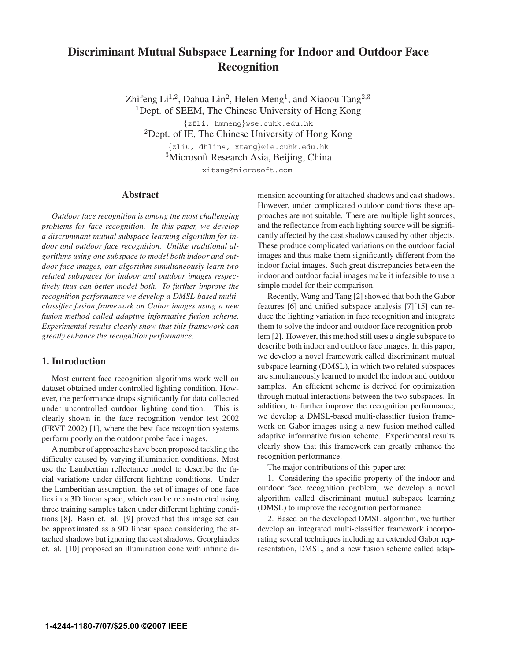# **Discriminant Mutual Subspace Learning for Indoor and Outdoor Face Recognition**

Zhifeng Li<sup>1,2</sup>, Dahua Lin<sup>2</sup>, Helen Meng<sup>1</sup>, and Xiaoou Tang<sup>2,3</sup> <sup>1</sup>Dept. of SEEM, The Chinese University of Hong Kong *{*zfli, hmmeng*}*@se.cuhk.edu.hk

<sup>2</sup>Dept. of IE, The Chinese University of Hong Kong

*{*zli0, dhlin4, xtang*}*@ie.cuhk.edu.hk

<sup>3</sup>Microsoft Research Asia, Beijing, China

xitang@microsoft.com

### **Abstract**

*Outdoor face recognition is among the most challenging problems for face recognition. In this paper, we develop a discriminant mutual subspace learning algorithm for indoor and outdoor face recognition. Unlike traditional algorithms using one subspace to model both indoor and outdoor face images, our algorithm simultaneously learn two related subspaces for indoor and outdoor images respectively thus can better model both. To further improve the recognition performance we develop a DMSL-based multiclassifier fusion framework on Gabor images using a new fusion method called adaptive informative fusion scheme. Experimental results clearly show that this framework can greatly enhance the recognition performance.*

## **1. Introduction**

Most current face recognition algorithms work well on dataset obtained under controlled lighting condition. However, the performance drops significantly for data collected under uncontrolled outdoor lighting condition. This is clearly shown in the face recognition vendor test 2002 (FRVT 2002) [1], where the best face recognition systems perform poorly on the outdoor probe face images.

A number of approaches have been proposed tackling the difficulty caused by varying illumination conditions. Most use the Lambertian reflectance model to describe the facial variations under different lighting conditions. Under the Lamberitian assumption, the set of images of one face lies in a 3D linear space, which can be reconstructed using three training samples taken under different lighting conditions [8]. Basri et. al. [9] proved that this image set can be approximated as a 9D linear space considering the attached shadows but ignoring the cast shadows. Georghiades et. al. [10] proposed an illumination cone with infinite dimension accounting for attached shadows and cast shadows. However, under complicated outdoor conditions these approaches are not suitable. There are multiple light sources, and the reflectance from each lighting source will be significantly affected by the cast shadows caused by other objects. These produce complicated variations on the outdoor facial images and thus make them significantly different from the indoor facial images. Such great discrepancies between the indoor and outdoor facial images make it infeasible to use a simple model for their comparison.

Recently, Wang and Tang [2] showed that both the Gabor features [6] and unified subspace analysis [7][15] can reduce the lighting variation in face recognition and integrate them to solve the indoor and outdoor face recognition problem [2]. However, this method still uses a single subspace to describe both indoor and outdoor face images. In this paper, we develop a novel framework called discriminant mutual subspace learning (DMSL), in which two related subspaces are simultaneously learned to model the indoor and outdoor samples. An efficient scheme is derived for optimization through mutual interactions between the two subspaces. In addition, to further improve the recognition performance, we develop a DMSL-based multi-classifier fusion framework on Gabor images using a new fusion method called adaptive informative fusion scheme. Experimental results clearly show that this framework can greatly enhance the recognition performance.

The major contributions of this paper are:

1. Considering the specific property of the indoor and outdoor face recognition problem, we develop a novel algorithm called discriminant mutual subspace learning (DMSL) to improve the recognition performance.

2. Based on the developed DMSL algorithm, we further develop an integrated multi-classifier framework incorporating several techniques including an extended Gabor representation, DMSL, and a new fusion scheme called adap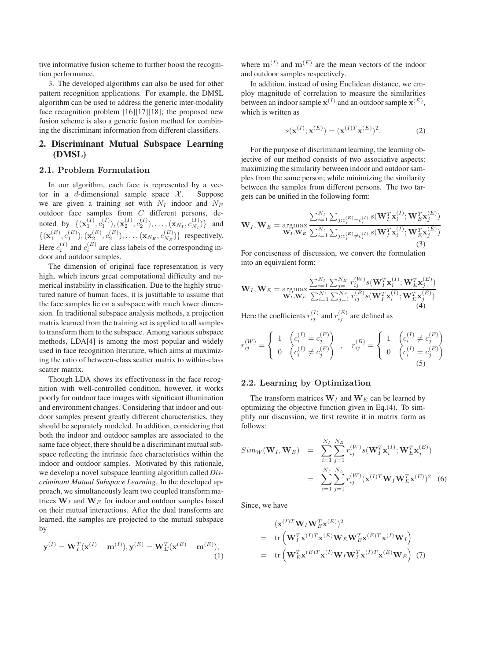tive informative fusion scheme to further boost the recognition performance.

3. The developed algorithms can also be used for other pattern recognition applications. For example, the DMSL algorithm can be used to address the generic inter-modality face recognition problem [16][17][18]; the proposed new fusion scheme is also a generic fusion method for combining the discriminant information from different classifiers.

# **2. Discriminant Mutual Subspace Learning (DMSL)**

#### **2.1. Problem Formulation**

In our algorithm, each face is represented by a vector in a d-dimensional sample space  $X$ . Suppose we are given a training set with N*<sup>I</sup>* indoor and N*<sup>E</sup>* outdoor face samples from C different persons, denoted by  $\{(\mathbf{x}_1^{(I)}, c_1^{(I)}), (\mathbf{x}_2^{(I)}, c_2^{(I)}), \dots, (\mathbf{x}_{N_I}, c_{N_I}^{(I)})\}$  and  $(c_p^{(E)}, (E), (E), (E), \dots, (E),$  $\{(\mathbf{x}_1^{(E)}, c_1^{(E)}), (\mathbf{x}_2^{(E)}, c_2^{(E)}), \dots, (\mathbf{x}_{N_E}, c_{N_E}^{(E)})\}$  respectively.<br>Here  $c_i^{(I)}$  and  $c_i^{(E)}$  are class labels of the corresponding indoor and outdoor samples.

The dimension of original face representation is very high, which incurs great computational difficulty and numerical instability in classification. Due to the highly structured nature of human faces, it is justifiable to assume that the face samples lie on a subspace with much lower dimension. In traditional subspace analysis methods, a projection matrix learned from the training set is applied to all samples to transform them to the subspace. Among various subspace methods, LDA[4] is among the most popular and widely used in face recognition literature, which aims at maximizing the ratio of between-class scatter matrix to within-class scatter matrix.

Though LDA shows its effectiveness in the face recognition with well-controlled condition, however, it works poorly for outdoor face images with significant illumination and environment changes. Considering that indoor and outdoor samples present greatly different characteristics, they should be separately modeled. In addition, considering that both the indoor and outdoor samples are associated to the same face object, there should be a discriminant mutual subspace reflecting the intrinsic face characteristics within the indoor and outdoor samples. Motivated by this rationale, we develop a novel subspace learning algorithm called *Discriminant Mutual Subspace Learning*. In the developed approach, we simultaneously learn two coupled transform matrices  $W_I$  and  $W_E$  for indoor and outdoor samples based on their mutual interactions. After the dual transforms are learned, the samples are projected to the mutual subspace by

$$
\mathbf{y}^{(I)} = \mathbf{W}_I^T(\mathbf{x}^{(I)} - \mathbf{m}^{(I)}), \mathbf{y}^{(E)} = \mathbf{W}_E^T(\mathbf{x}^{(E)} - \mathbf{m}^{(E)}),
$$
\n(1)

where  $\mathbf{m}^{(I)}$  and  $\mathbf{m}^{(E)}$  are the mean vectors of the indoor and outdoor samples respectively.

In addition, instead of using Euclidean distance, we employ magnitude of correlation to measure the similarities between an indoor sample  $\mathbf{x}^{(I)}$  and an outdoor sample  $\mathbf{x}^{(E)}$ , which is written as

$$
s(\mathbf{x}^{(I)}; \mathbf{x}^{(E)}) = (\mathbf{x}^{(I)T} \mathbf{x}^{(E)})^2.
$$
 (2)

For the purpose of discriminant learning, the learning objective of our method consists of two associative aspects: maximizing the similarity between indoor and outdoor samples from the same person; while minimizing the similarity between the samples from different persons. The two targets can be unified in the following form:

$$
\mathbf{W}_{I}, \mathbf{W}_{E} = \underset{\mathbf{W}_{I}, \mathbf{W}_{E}}{\text{argmax}} \frac{\sum_{i=1}^{N_{I}} \sum_{j:c_{j}^{(E)} = c_{i}^{(I)}} s(\mathbf{W}_{I}^{T} \mathbf{x}_{i}^{(I)}; \mathbf{W}_{E}^{T} \mathbf{x}_{j}^{(E)})}{\sum_{i=1}^{N_{I}} \sum_{j:c_{j}^{(E)} \neq c_{i}^{(I)}} s(\mathbf{W}_{I}^{T} \mathbf{x}_{i}^{(I)}; \mathbf{W}_{E}^{T} \mathbf{x}_{j}^{(E)})}
$$
(3)

For conciseness of discussion, we convert the formulation into an equivalent form:

$$
\mathbf{W}_{I}, \mathbf{W}_{E} = \underset{\mathbf{W}_{I}, \mathbf{W}_{E}}{\text{argmax}} \frac{\sum_{i=1}^{N_{I}} \sum_{j=1}^{N_{E}} r_{ij}^{(W)} s(\mathbf{W}_{I}^{T} \mathbf{x}_{i}^{(I)}; \mathbf{W}_{E}^{T} \mathbf{x}_{j}^{(E)})}{\sum_{i=1}^{N_{I}} \sum_{j=1}^{N_{E}} r_{ij}^{(B)} s(\mathbf{W}_{I}^{T} \mathbf{x}_{i}^{(I)}; \mathbf{W}_{E}^{T} \mathbf{x}_{j}^{(E)})}
$$
(4)

Here the coefficients  $r_{ij}^{(I)}$  and  $r_{ij}^{(E)}$  are defined as

$$
r_{ij}^{(W)} = \begin{cases} 1 & \left(c_i^{(I)} = c_j^{(E)}\right) \\ 0 & \left(c_i^{(I)} \neq c_j^{(E)}\right) \end{cases}, \quad r_{ij}^{(B)} = \begin{cases} 1 & \left(c_i^{(I)} \neq c_j^{(E)}\right) \\ 0 & \left(c_i^{(I)} = c_j^{(E)}\right) \\ 0 & \left(c_i^{(J)} = c_j^{(E)}\right) \end{cases}
$$

### **2.2. Learning by Optimization**

The transform matrices  $W_I$  and  $W_E$  can be learned by optimizing the objective function given in Eq.(4). To simplify our discussion, we first rewrite it in matrix form as follows:

$$
Sim_W(\mathbf{W}_I, \mathbf{W}_E) = \sum_{i=1}^{N_I} \sum_{j=1}^{N_E} r_{ij}^{(W)} s(\mathbf{W}_I^T \mathbf{x}_i^{(I)}; \mathbf{W}_E^T \mathbf{x}_j^{(E)})
$$

$$
= \sum_{i=1}^{N_I} \sum_{j=1}^{N_E} r_{ij}^{(W)} (\mathbf{x}^{(I)T} \mathbf{W}_I \mathbf{W}_E^T \mathbf{x}^{(E)})^2
$$
(6)

Since, we have

$$
(\mathbf{x}^{(I)T}\mathbf{W}_{I}\mathbf{W}_{E}^{T}\mathbf{x}^{(E)})^{2}
$$
\n
$$
= \text{tr}(\mathbf{W}_{I}^{T}\mathbf{x}^{(I)T}\mathbf{x}^{(E)}\mathbf{W}_{E}\mathbf{W}_{E}^{T}\mathbf{x}^{(E)T}\mathbf{x}^{(I)}\mathbf{W}_{I})
$$
\n
$$
= \text{tr}(\mathbf{W}_{E}^{T}\mathbf{x}^{(E)T}\mathbf{x}^{(I)}\mathbf{W}_{I}\mathbf{W}_{I}^{T}\mathbf{x}^{(I)T}\mathbf{x}^{(E)}\mathbf{W}_{E}) \quad (7)
$$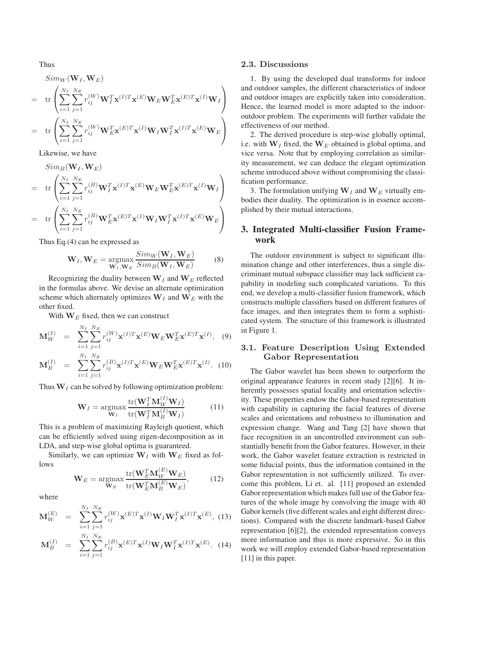Thus

$$
Sim_W(\mathbf{W}_I, \mathbf{W}_E)
$$
\n
$$
= tr \left( \sum_{i=1}^{N_I} \sum_{j=1}^{N_E} r_{ij}^{(W)} \mathbf{W}_I^T \mathbf{x}^{(I)T} \mathbf{x}^{(E)} \mathbf{W}_E \mathbf{W}_E^T \mathbf{x}^{(E)T} \mathbf{x}^{(I)} \mathbf{W}_I \right)
$$
\n
$$
= tr \left( \sum_{i=1}^{N_I} \sum_{j=1}^{N_E} r_{ij}^{(W)} \mathbf{W}_E^T \mathbf{x}^{(E)T} \mathbf{x}^{(I)} \mathbf{W}_I \mathbf{W}_I^T \mathbf{x}^{(I)T} \mathbf{x}^{(E)} \mathbf{W}_E \right)
$$

Likewise, we have

$$
Sim_B(\mathbf{W}_I, \mathbf{W}_E)
$$
\n
$$
= tr \left( \sum_{i=1}^{N_I} \sum_{j=1}^{N_E} r_{ij}^{(B)} \mathbf{W}_I^T \mathbf{x}^{(I)T} \mathbf{x}^{(E)} \mathbf{W}_E \mathbf{W}_E^T \mathbf{x}^{(E)T} \mathbf{x}^{(I)} \mathbf{W}_I \right)
$$
\n
$$
= tr \left( \sum_{i=1}^{N_I} \sum_{j=1}^{N_E} r_{ij}^{(B)} \mathbf{W}_E^T \mathbf{x}^{(E)T} \mathbf{x}^{(I)} \mathbf{W}_I \mathbf{W}_I^T \mathbf{x}^{(I)T} \mathbf{x}^{(E)} \mathbf{W}_E \right)
$$

Thus Eq.(4) can be expressed as

$$
\mathbf{W}_{I}, \mathbf{W}_{E} = \underset{\mathbf{W}_{I}, \mathbf{W}_{E}}{\text{argmax}} \frac{Sim_W(\mathbf{W}_{I}, \mathbf{W}_{E})}{Sim_B(\mathbf{W}_{I}, \mathbf{W}_{E})}
$$
(8)

Recognizing the duality between  $W_I$  and  $W_E$  reflected in the formulas above. We devise an alternate optimization scheme which alternately optimizes  $W_I$  and  $W_E$  with the other fixed.

With  $W_E$  fixed, then we can construct

$$
\mathbf{M}_{W}^{(I)} = \sum_{i=1}^{N_I} \sum_{j=1}^{N_E} r_{ij}^{(W)} \mathbf{x}^{(I)T} \mathbf{x}^{(E)} \mathbf{W}_E \mathbf{W}_E^T \mathbf{x}^{(E)T} \mathbf{x}^{(I)}, \quad (9)
$$

$$
\mathbf{M}_{B}^{(I)} = \sum_{i=1}^{N_{I}} \sum_{j=1}^{N_{E}} r_{ij}^{(B)} \mathbf{x}^{(I)T} \mathbf{x}^{(E)} \mathbf{W}_{E} \mathbf{W}_{E}^{T} \mathbf{x}^{(E)T} \mathbf{x}^{(I)}.
$$
 (10)

Thus  $W_I$  can be solved by following optimization problem:

$$
\mathbf{W}_{I} = \underset{\mathbf{W}_{I}}{\operatorname{argmax}} \frac{\operatorname{tr}(\mathbf{W}_{I}^{T} \mathbf{M}_{W}^{(I)} \mathbf{W}_{I})}{\operatorname{tr}(\mathbf{W}_{I}^{T} \mathbf{M}_{B}^{(I)} \mathbf{W}_{I})}
$$
(11)

This is a problem of maximizing Rayleigh quotient, which can be efficiently solved using eigen-decomposition as in LDA, and step-wise global optima is guaranteed.

Similarly, we can optimize  $W_I$  with  $W_E$  fixed as follows

$$
\mathbf{W}_{E} = \underset{\mathbf{W}_{E}}{\operatorname{argmax}} \frac{\operatorname{tr}(\mathbf{W}_{E}^{T} \mathbf{M}_{W}^{(E)} \mathbf{W}_{E})}{\operatorname{tr}(\mathbf{W}_{E}^{T} \mathbf{M}_{B}^{(E)} \mathbf{W}_{E})},
$$
(12)

where

$$
\mathbf{M}_{W}^{(E)} = \sum_{i=1}^{N_{I}} \sum_{j=1}^{N_{E}} r_{ij}^{(W)} \mathbf{x}^{(E)T} \mathbf{x}^{(I)} \mathbf{W}_{I} \mathbf{W}_{I}^{T} \mathbf{x}^{(I)T} \mathbf{x}^{(E)},
$$
(13)

$$
\mathbf{M}_{B}^{(I)} = \sum_{i=1}^{N_{I}} \sum_{j=1}^{N_{E}} r_{ij}^{(B)} \mathbf{x}^{(E)T} \mathbf{x}^{(I)} \mathbf{W}_{I} \mathbf{W}_{I}^{T} \mathbf{x}^{(I)T} \mathbf{x}^{(E)}.
$$
 (14)

#### **2.3. Discussions**

1. By using the developed dual transforms for indoor and outdoor samples, the different characteristics of indoor and outdoor images are explicitly taken into consideration. Hence, the learned model is more adapted to the indooroutdoor problem. The experiments will further validate the effectiveness of our method.

2. The derived procedure is step-wise globally optimal, i.e. with  $W_I$  fixed, the  $W_E$  obtained is global optima, and vice versa. Note that by employing correlation as similarity measurement, we can deduce the elegant optimization scheme introduced above without compromising the classification performance.

3. The formulation unifying  $W_I$  and  $W_E$  virtually embodies their duality. The optimization is in essence accomplished by their mutual interactions.

# **3. Integrated Multi-classifier Fusion Framework**

The outdoor environment is subject to significant illumination change and other interferences, thus a single discriminant mutual subspace classifier may lack sufficient capability in modeling such complicated variations. To this end, we develop a multi-classifier fusion framework, which constructs multiple classifiers based on different features of face images, and then integrates them to form a sophisticated system. The structure of this framework is illustrated in Figure 1.

### **3.1. Feature Description Using Extended Gabor Representation**

The Gabor wavelet has been shown to outperform the original appearance features in recent study [2][6]. It inherently possesses spatial locality and orientation selectivity. These properties endow the Gabor-based representation with capability in capturing the facial features of diverse scales and orientations and robustness to illumination and expression change. Wang and Tang [2] have shown that face recognition in an uncontrolled environment can substantially benefit from the Gabor features. However, in their work, the Gabor wavelet feature extraction is restricted in some fiducial points, thus the information contained in the Gabor representation is not sufficiently utilized. To overcome this problem, Li et. al. [11] proposed an extended Gabor representation which makes full use of the Gabor features of the whole image by convolving the image with 40 Gabor kernels (five different scales and eight different directions). Compared with the discrete landmark-based Gabor representation [6][2], the extended representation conveys more information and thus is more expressive. So in this work we will employ extended Gabor-based representation [11] in this paper.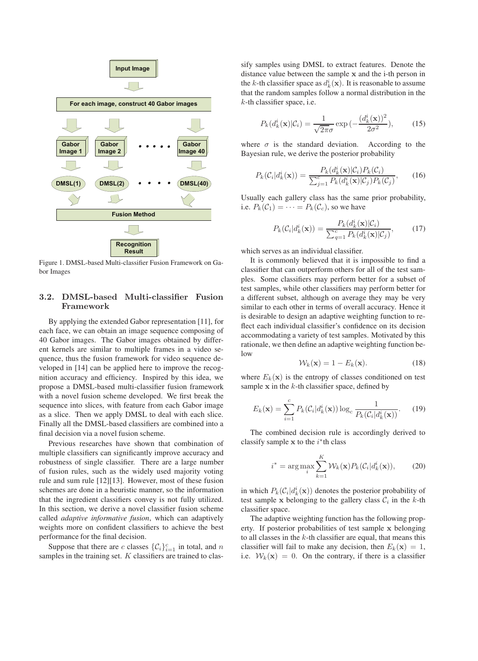

Figure 1. DMSL-based Multi-classifier Fusion Framework on Gabor Images

# **3.2. DMSL-based Multi-classifier Fusion Framework**

By applying the extended Gabor representation [11], for each face, we can obtain an image sequence composing of 40 Gabor images. The Gabor images obtained by different kernels are similar to multiple frames in a video sequence, thus the fusion framework for video sequence developed in [14] can be applied here to improve the recognition accuracy and efficiency. Inspired by this idea, we propose a DMSL-based multi-classifier fusion framework with a novel fusion scheme developed. We first break the sequence into slices, with feature from each Gabor image as a slice. Then we apply DMSL to deal with each slice. Finally all the DMSL-based classifiers are combined into a final decision via a novel fusion scheme.

Previous researches have shown that combination of multiple classifiers can significantly improve accuracy and robustness of single classifier. There are a large number of fusion rules, such as the widely used majority voting rule and sum rule [12][13]. However, most of these fusion schemes are done in a heuristic manner, so the information that the ingredient classifiers convey is not fully utilized. In this section, we derive a novel classifier fusion scheme called *adaptive informative fusion*, which can adaptively weights more on confident classifiers to achieve the best performance for the final decision.

Suppose that there are c classes  $\{\mathcal{C}_i\}_{i=1}^c$  in total, and n samples in the training set.  $K$  classifiers are trained to classify samples using DMSL to extract features. Denote the distance value between the sample **x** and the i-th person in the k-th classifier space as  $d_k^i(\mathbf{x})$ . It is reasonable to assume<br>that the random samples follow a normal distribution in the that the random samples follow a normal distribution in the  $k$ -th classifier space, i.e.

$$
P_k(d_k^i(\mathbf{x})|\mathcal{C}_i) = \frac{1}{\sqrt{2\pi}\sigma} \exp\left(-\frac{(d_k^i(\mathbf{x}))^2}{2\sigma^2}\right),\tag{15}
$$

where  $\sigma$  is the standard deviation. According to the Bayesian rule, we derive the posterior probability

$$
P_k(\mathcal{C}_i|d_k^i(\mathbf{x})) = \frac{P_k(d_k^i(\mathbf{x})|\mathcal{C}_i)P_k(\mathcal{C}_i)}{\sum_{j=1}^c P_k(d_k^i(\mathbf{x})|\mathcal{C}_j)P_k(\mathcal{C}_j)},\qquad(16)
$$

Usually each gallery class has the same prior probability, i.e.  $P_k(\mathcal{C}_1) = \cdots = P_k(\mathcal{C}_c)$ , so we have

$$
P_k(\mathcal{C}_i|d_k^i(\mathbf{x})) = \frac{P_k(d_k^i(\mathbf{x})|\mathcal{C}_i)}{\sum_{q=1}^c P_k(d_k^i(\mathbf{x})|\mathcal{C}_j)},\qquad(17)
$$

which serves as an individual classifier.

It is commonly believed that it is impossible to find a classifier that can outperform others for all of the test samples. Some classifiers may perform better for a subset of test samples, while other classifiers may perform better for a different subset, although on average they may be very similar to each other in terms of overall accuracy. Hence it is desirable to design an adaptive weighting function to reflect each individual classifier's confidence on its decision accommodating a variety of test samples. Motivated by this rationale, we then define an adaptive weighting function below

$$
\mathcal{W}_k(\mathbf{x}) = 1 - E_k(\mathbf{x}).\tag{18}
$$

where  $E_k(\mathbf{x})$  is the entropy of classes conditioned on test sample  $x$  in the  $k$ -th classifier space, defined by

$$
E_k(\mathbf{x}) = \sum_{i=1}^c P_k(\mathcal{C}_i | d_k^i(\mathbf{x})) \log_c \frac{1}{P_k(\mathcal{C}_i | d_k^i(\mathbf{x}))}. \tag{19}
$$

The combined decision rule is accordingly derived to classify sample  $x$  to the  $i^*$ <sup>th</sup> class

$$
i^* = \arg\max_{i} \sum_{k=1}^{K} \mathcal{W}_k(\mathbf{x}) P_k(\mathcal{C}_i | d_k^i(\mathbf{x})), \tag{20}
$$

in which  $P_k(C_i|d_k^i(\mathbf{x}))$  denotes the posterior probability of test sample x belonging to the gallery class  $C_i$  in the k-th test sample  $x$  belonging to the gallery class  $C_i$  in the  $k$ -th classifier space.

The adaptive weighting function has the following property. If posterior probabilities of test sample **x** belonging to all classes in the  $k$ -th classifier are equal, that means this classifier will fail to make any decision, then  $E_k(\mathbf{x})=1$ , i.e.  $W_k(\mathbf{x})=0$ . On the contrary, if there is a classifier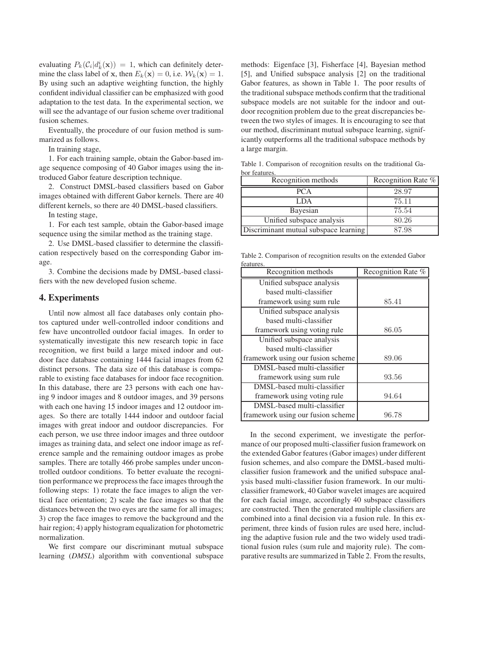evaluating  $P_k(C_i|d_k^i(\mathbf{x})) = 1$ , which can definitely deter-<br>mine the class label of x then  $F_k(\mathbf{x}) = 0$  i.e.  $\mathcal{W}_k(\mathbf{x}) = 1$ mine the class label of **x**, then  $E_k(\mathbf{x})=0$ , i.e.  $\mathcal{W}_k(\mathbf{x})=1$ . By using such an adaptive weighting function, the highly confident individual classifier can be emphasized with good adaptation to the test data. In the experimental section, we will see the advantage of our fusion scheme over traditional fusion schemes.

Eventually, the procedure of our fusion method is summarized as follows.

In training stage,

1. For each training sample, obtain the Gabor-based image sequence composing of 40 Gabor images using the introduced Gabor feature description technique.

2. Construct DMSL-based classifiers based on Gabor images obtained with different Gabor kernels. There are 40 different kernels, so there are 40 DMSL-based classifiers.

In testing stage,

1. For each test sample, obtain the Gabor-based image sequence using the similar method as the training stage.

2. Use DMSL-based classifier to determine the classification respectively based on the corresponding Gabor image.

3. Combine the decisions made by DMSL-based classifiers with the new developed fusion scheme.

## **4. Experiments**

Until now almost all face databases only contain photos captured under well-controlled indoor conditions and few have uncontrolled outdoor facial images. In order to systematically investigate this new research topic in face recognition, we first build a large mixed indoor and outdoor face database containing 1444 facial images from 62 distinct persons. The data size of this database is comparable to existing face databases for indoor face recognition. In this database, there are 23 persons with each one having 9 indoor images and 8 outdoor images, and 39 persons with each one having 15 indoor images and 12 outdoor images. So there are totally 1444 indoor and outdoor facial images with great indoor and outdoor discrepancies. For each person, we use three indoor images and three outdoor images as training data, and select one indoor image as reference sample and the remaining outdoor images as probe samples. There are totally 466 probe samples under uncontrolled outdoor conditions. To better evaluate the recognition performance we preprocess the face images through the following steps: 1) rotate the face images to align the vertical face orientation; 2) scale the face images so that the distances between the two eyes are the same for all images; 3) crop the face images to remove the background and the hair region; 4) apply histogram equalization for photometric normalization.

We first compare our discriminant mutual subspace learning (*DMSL*) algorithm with conventional subspace methods: Eigenface [3], Fisherface [4], Bayesian method [5], and Unified subspace analysis [2] on the traditional Gabor features, as shown in Table 1. The poor results of the traditional subspace methods confirm that the traditional subspace models are not suitable for the indoor and outdoor recognition problem due to the great discrepancies between the two styles of images. It is encouraging to see that our method, discriminant mutual subspace learning, significantly outperforms all the traditional subspace methods by a large margin.

Table 1. Comparison of recognition results on the traditional Gabor features.

| Recognition methods                   | Recognition Rate % |
|---------------------------------------|--------------------|
| <b>PCA</b>                            | 28.97              |
| LDA                                   | 75.11              |
| Bayesian                              | 75.54              |
| Unified subspace analysis             | 80.26              |
| Discriminant mutual subspace learning | 87.98              |
|                                       |                    |

Table 2. Comparison of recognition results on the extended Gabor features.

| reatures.<br>Recognition methods  | Recognition Rate % |
|-----------------------------------|--------------------|
| Unified subspace analysis         |                    |
| based multi-classifier            |                    |
| framework using sum rule          | 85.41              |
| Unified subspace analysis         |                    |
| based multi-classifier            |                    |
| framework using voting rule       | 86.05              |
| Unified subspace analysis         |                    |
| based multi-classifier            |                    |
| framework using our fusion scheme | 89.06              |
| DMSL-based multi-classifier       |                    |
| framework using sum rule          | 93.56              |
| DMSL-based multi-classifier       |                    |
| framework using voting rule       | 94.64              |
| DMSL-based multi-classifier       |                    |
| framework using our fusion scheme | 96.78              |
|                                   |                    |

In the second experiment, we investigate the performance of our proposed multi-classifier fusion framework on the extended Gabor features (Gabor images) under different fusion schemes, and also compare the DMSL-based multiclassifier fusion framework and the unified subspace analysis based multi-classifier fusion framework. In our multiclassifier framework, 40 Gabor wavelet images are acquired for each facial image, accordingly 40 subspace classifiers are constructed. Then the generated multiple classifiers are combined into a final decision via a fusion rule. In this experiment, three kinds of fusion rules are used here, including the adaptive fusion rule and the two widely used traditional fusion rules (sum rule and majority rule). The comparative results are summarized in Table 2. From the results,